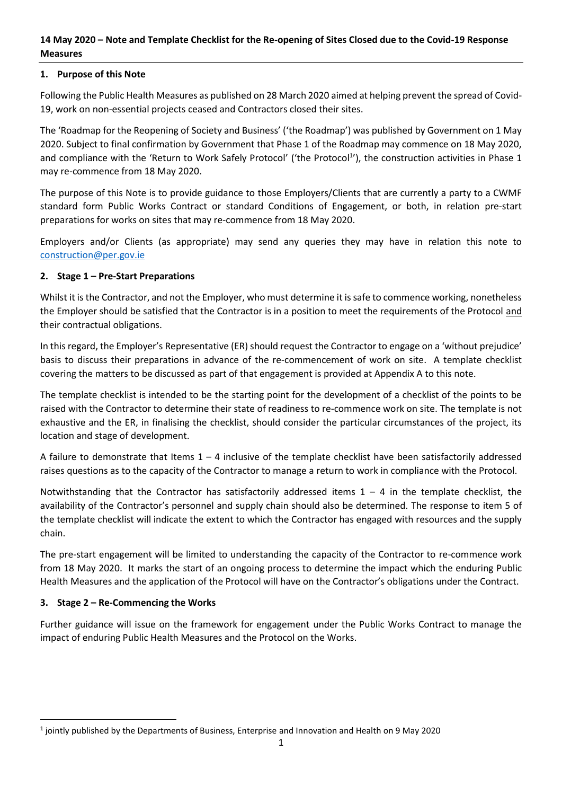## **14 May 2020 – Note and Template Checklist for the Re-opening of Sites Closed due to the Covid-19 Response Measures**

### **1. Purpose of this Note**

Following the Public Health Measures as published on 28 March 2020 aimed at helping prevent the spread of Covid-19, work on non-essential projects ceased and Contractors closed their sites.

The 'Roadmap for the Reopening of Society and Business' ('the Roadmap') was published by Government on 1 May 2020. Subject to final confirmation by Government that Phase 1 of the Roadmap may commence on 18 May 2020, and compliance with the 'Return to Work Safely Protocol' ('the Protocol<sup>1</sup>'), the construction activities in Phase 1 may re-commence from 18 May 2020.

The purpose of this Note is to provide guidance to those Employers/Clients that are currently a party to a CWMF standard form Public Works Contract or standard Conditions of Engagement, or both, in relation pre-start preparations for works on sites that may re-commence from 18 May 2020.

Employers and/or Clients (as appropriate) may send any queries they may have in relation this note to [construction@per.gov.ie](mailto:construction@per.gov.ie)

### **2. Stage 1 – Pre-Start Preparations**

Whilst it is the Contractor, and not the Employer, who must determine it is safe to commence working, nonetheless the Employer should be satisfied that the Contractor is in a position to meet the requirements of the Protocol and their contractual obligations.

In this regard, the Employer's Representative (ER) should request the Contractor to engage on a 'without prejudice' basis to discuss their preparations in advance of the re-commencement of work on site. A template checklist covering the matters to be discussed as part of that engagement is provided at Appendix A to this note.

The template checklist is intended to be the starting point for the development of a checklist of the points to be raised with the Contractor to determine their state of readiness to re-commence work on site. The template is not exhaustive and the ER, in finalising the checklist, should consider the particular circumstances of the project, its location and stage of development.

A failure to demonstrate that Items  $1 - 4$  inclusive of the template checklist have been satisfactorily addressed raises questions as to the capacity of the Contractor to manage a return to work in compliance with the Protocol.

Notwithstanding that the Contractor has satisfactorily addressed items  $1 - 4$  in the template checklist, the availability of the Contractor's personnel and supply chain should also be determined. The response to item 5 of the template checklist will indicate the extent to which the Contractor has engaged with resources and the supply chain.

The pre-start engagement will be limited to understanding the capacity of the Contractor to re-commence work from 18 May 2020. It marks the start of an ongoing process to determine the impact which the enduring Public Health Measures and the application of the Protocol will have on the Contractor's obligations under the Contract.

#### **3. Stage 2 – Re-Commencing the Works**

 $\overline{a}$ 

Further guidance will issue on the framework for engagement under the Public Works Contract to manage the impact of enduring Public Health Measures and the Protocol on the Works.

 $^1$  jointly published by the Departments of Business, Enterprise and Innovation and Health on 9 May 2020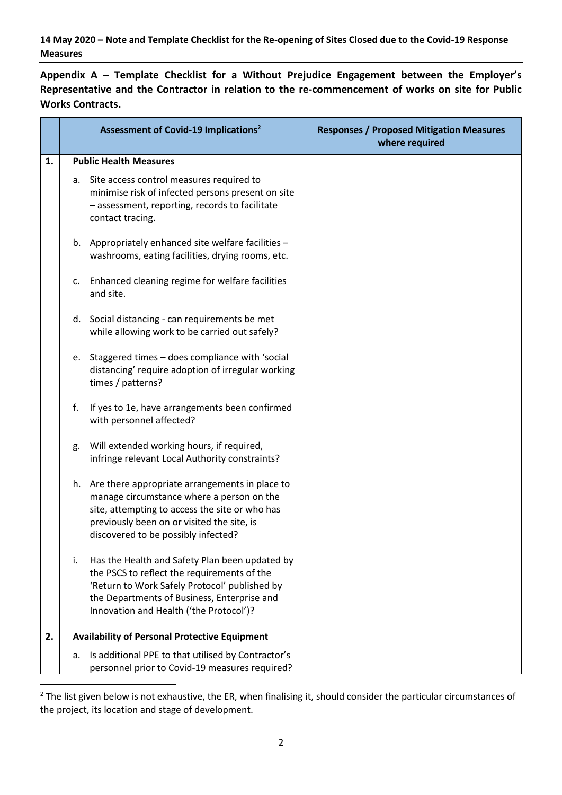**14 May 2020 – Note and Template Checklist for the Re-opening of Sites Closed due to the Covid-19 Response Measures**

**Appendix A – Template Checklist for a Without Prejudice Engagement between the Employer's Representative and the Contractor in relation to the re-commencement of works on site for Public Works Contracts.**

|    | Assessment of Covid-19 Implications <sup>2</sup>                                                                                                                                                                                               | <b>Responses / Proposed Mitigation Measures</b><br>where required |
|----|------------------------------------------------------------------------------------------------------------------------------------------------------------------------------------------------------------------------------------------------|-------------------------------------------------------------------|
| 1. | <b>Public Health Measures</b>                                                                                                                                                                                                                  |                                                                   |
|    | Site access control measures required to<br>а.<br>minimise risk of infected persons present on site<br>- assessment, reporting, records to facilitate<br>contact tracing.                                                                      |                                                                   |
|    | b. Appropriately enhanced site welfare facilities -<br>washrooms, eating facilities, drying rooms, etc.                                                                                                                                        |                                                                   |
|    | Enhanced cleaning regime for welfare facilities<br>c.<br>and site.                                                                                                                                                                             |                                                                   |
|    | d. Social distancing - can requirements be met<br>while allowing work to be carried out safely?                                                                                                                                                |                                                                   |
|    | e. Staggered times - does compliance with 'social<br>distancing' require adoption of irregular working<br>times / patterns?                                                                                                                    |                                                                   |
|    | f.<br>If yes to 1e, have arrangements been confirmed<br>with personnel affected?                                                                                                                                                               |                                                                   |
|    | Will extended working hours, if required,<br>g.<br>infringe relevant Local Authority constraints?                                                                                                                                              |                                                                   |
|    | h. Are there appropriate arrangements in place to<br>manage circumstance where a person on the<br>site, attempting to access the site or who has<br>previously been on or visited the site, is<br>discovered to be possibly infected?          |                                                                   |
|    | i.<br>Has the Health and Safety Plan been updated by<br>the PSCS to reflect the requirements of the<br>'Return to Work Safely Protocol' published by<br>the Departments of Business, Enterprise and<br>Innovation and Health ('the Protocol')? |                                                                   |
| 2. | <b>Availability of Personal Protective Equipment</b>                                                                                                                                                                                           |                                                                   |
|    | Is additional PPE to that utilised by Contractor's<br>a.<br>personnel prior to Covid-19 measures required?                                                                                                                                     |                                                                   |

 $2$  The list given below is not exhaustive, the ER, when finalising it, should consider the particular circumstances of the project, its location and stage of development.

 $\overline{a}$